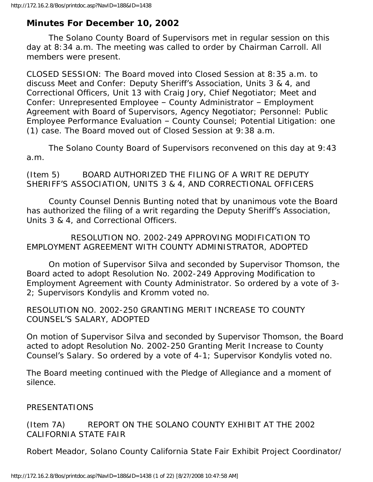# **Minutes For December 10, 2002**

 The Solano County Board of Supervisors met in regular session on this day at 8:34 a.m. The meeting was called to order by Chairman Carroll. All members were present.

CLOSED SESSION: The Board moved into Closed Session at 8:35 a.m. to discuss Meet and Confer: Deputy Sheriff's Association, Units 3 & 4, and Correctional Officers, Unit 13 with Craig Jory, Chief Negotiator; Meet and Confer: Unrepresented Employee – County Administrator – Employment Agreement with Board of Supervisors, Agency Negotiator; Personnel: Public Employee Performance Evaluation – County Counsel; Potential Litigation: one (1) case. The Board moved out of Closed Session at 9:38 a.m.

 The Solano County Board of Supervisors reconvened on this day at 9:43 a.m.

(Item 5) BOARD AUTHORIZED THE FILING OF A WRIT RE DEPUTY SHERIFF'S ASSOCIATION, UNITS 3 & 4, AND CORRECTIONAL OFFICERS

 County Counsel Dennis Bunting noted that by unanimous vote the Board has authorized the filing of a writ regarding the Deputy Sheriff's Association, Units 3 & 4, and Correctional Officers.

 RESOLUTION NO. 2002-249 APPROVING MODIFICATION TO EMPLOYMENT AGREEMENT WITH COUNTY ADMINISTRATOR, ADOPTED

 On motion of Supervisor Silva and seconded by Supervisor Thomson, the Board acted to adopt Resolution No. 2002-249 Approving Modification to Employment Agreement with County Administrator. So ordered by a vote of 3- 2; Supervisors Kondylis and Kromm voted no.

RESOLUTION NO. 2002-250 GRANTING MERIT INCREASE TO COUNTY COUNSEL'S SALARY, ADOPTED

On motion of Supervisor Silva and seconded by Supervisor Thomson, the Board acted to adopt Resolution No. 2002-250 Granting Merit Increase to County Counsel's Salary. So ordered by a vote of 4-1; Supervisor Kondylis voted no.

The Board meeting continued with the Pledge of Allegiance and a moment of silence.

PRESENTATIONS

(Item 7A) REPORT ON THE SOLANO COUNTY EXHIBIT AT THE 2002 CALIFORNIA STATE FAIR

Robert Meador, Solano County California State Fair Exhibit Project Coordinator/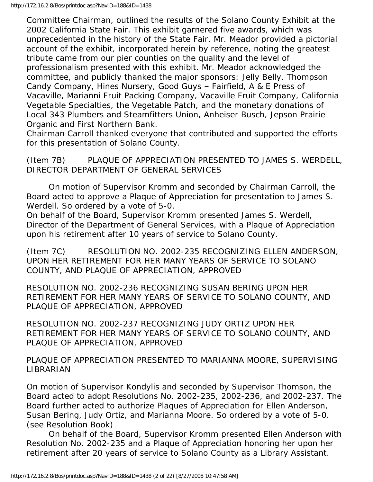Committee Chairman, outlined the results of the Solano County Exhibit at the 2002 California State Fair. This exhibit garnered five awards, which was unprecedented in the history of the State Fair. Mr. Meador provided a pictorial account of the exhibit, incorporated herein by reference, noting the greatest tribute came from our pier counties on the quality and the level of professionalism presented with this exhibit. Mr. Meador acknowledged the committee, and publicly thanked the major sponsors: Jelly Belly, Thompson Candy Company, Hines Nursery, Good Guys – Fairfield, A & E Press of Vacaville, Marianni Fruit Packing Company, Vacaville Fruit Company, California Vegetable Specialties, the Vegetable Patch, and the monetary donations of Local 343 Plumbers and Steamfitters Union, Anheiser Busch, Jepson Prairie Organic and First Northern Bank.

Chairman Carroll thanked everyone that contributed and supported the efforts for this presentation of Solano County.

(Item 7B) PLAQUE OF APPRECIATION PRESENTED TO JAMES S. WERDELL, DIRECTOR DEPARTMENT OF GENERAL SERVICES

 On motion of Supervisor Kromm and seconded by Chairman Carroll, the Board acted to approve a Plaque of Appreciation for presentation to James S. Werdell. So ordered by a vote of 5-0.

On behalf of the Board, Supervisor Kromm presented James S. Werdell, Director of the Department of General Services, with a Plaque of Appreciation upon his retirement after 10 years of service to Solano County.

(Item 7C) RESOLUTION NO. 2002-235 RECOGNIZING ELLEN ANDERSON, UPON HER RETIREMENT FOR HER MANY YEARS OF SERVICE TO SOLANO COUNTY, AND PLAQUE OF APPRECIATION, APPROVED

RESOLUTION NO. 2002-236 RECOGNIZING SUSAN BERING UPON HER RETIREMENT FOR HER MANY YEARS OF SERVICE TO SOLANO COUNTY, AND PLAQUE OF APPRECIATION, APPROVED

RESOLUTION NO. 2002-237 RECOGNIZING JUDY ORTIZ UPON HER RETIREMENT FOR HER MANY YEARS OF SERVICE TO SOLANO COUNTY, AND PLAQUE OF APPRECIATION, APPROVED

PLAQUE OF APPRECIATION PRESENTED TO MARIANNA MOORE, SUPERVISING LIBRARIAN

On motion of Supervisor Kondylis and seconded by Supervisor Thomson, the Board acted to adopt Resolutions No. 2002-235, 2002-236, and 2002-237. The Board further acted to authorize Plaques of Appreciation for Ellen Anderson, Susan Bering, Judy Ortiz, and Marianna Moore. So ordered by a vote of 5-0. (see Resolution Book)

 On behalf of the Board, Supervisor Kromm presented Ellen Anderson with Resolution No. 2002-235 and a Plaque of Appreciation honoring her upon her retirement after 20 years of service to Solano County as a Library Assistant.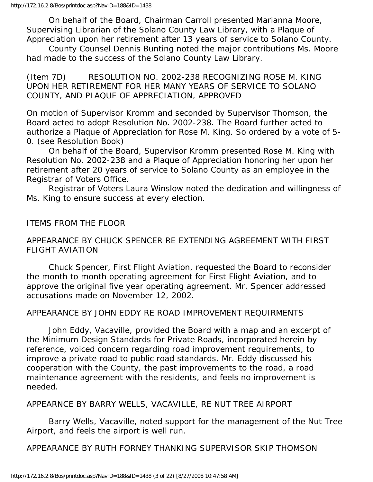On behalf of the Board, Chairman Carroll presented Marianna Moore, Supervising Librarian of the Solano County Law Library, with a Plaque of Appreciation upon her retirement after 13 years of service to Solano County.

 County Counsel Dennis Bunting noted the major contributions Ms. Moore had made to the success of the Solano County Law Library.

(Item 7D) RESOLUTION NO. 2002-238 RECOGNIZING ROSE M. KING UPON HER RETIREMENT FOR HER MANY YEARS OF SERVICE TO SOLANO COUNTY, AND PLAQUE OF APPRECIATION, APPROVED

On motion of Supervisor Kromm and seconded by Supervisor Thomson, the Board acted to adopt Resolution No. 2002-238. The Board further acted to authorize a Plaque of Appreciation for Rose M. King. So ordered by a vote of 5- 0. (see Resolution Book)

 On behalf of the Board, Supervisor Kromm presented Rose M. King with Resolution No. 2002-238 and a Plaque of Appreciation honoring her upon her retirement after 20 years of service to Solano County as an employee in the Registrar of Voters Office.

 Registrar of Voters Laura Winslow noted the dedication and willingness of Ms. King to ensure success at every election.

ITEMS FROM THE FLOOR

# APPEARANCE BY CHUCK SPENCER RE EXTENDING AGREEMENT WITH FIRST FLIGHT AVIATION

 Chuck Spencer, First Flight Aviation, requested the Board to reconsider the month to month operating agreement for First Flight Aviation, and to approve the original five year operating agreement. Mr. Spencer addressed accusations made on November 12, 2002.

# APPEARANCE BY JOHN EDDY RE ROAD IMPROVEMENT REQUIRMENTS

 John Eddy, Vacaville, provided the Board with a map and an excerpt of the Minimum Design Standards for Private Roads, incorporated herein by reference, voiced concern regarding road improvement requirements, to improve a private road to public road standards. Mr. Eddy discussed his cooperation with the County, the past improvements to the road, a road maintenance agreement with the residents, and feels no improvement is needed.

APPEARNCE BY BARRY WELLS, VACAVILLE, RE NUT TREE AIRPORT

 Barry Wells, Vacaville, noted support for the management of the Nut Tree Airport, and feels the airport is well run.

APPEARANCE BY RUTH FORNEY THANKING SUPERVISOR SKIP THOMSON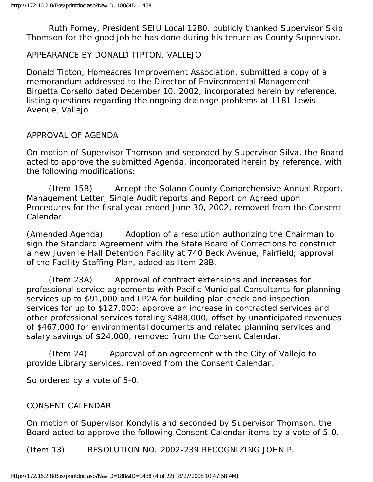Ruth Forney, President SEIU Local 1280, publicly thanked Supervisor Skip Thomson for the good job he has done during his tenure as County Supervisor.

#### APPEARANCE BY DONALD TIPTON, VALLEJO

Donald Tipton, Homeacres Improvement Association, submitted a copy of a memorandum addressed to the Director of Environmental Management Birgetta Corsello dated December 10, 2002, incorporated herein by reference, listing questions regarding the ongoing drainage problems at 1181 Lewis Avenue, Vallejo.

# APPROVAL OF AGENDA

On motion of Supervisor Thomson and seconded by Supervisor Silva, the Board acted to approve the submitted Agenda, incorporated herein by reference, with the following modifications:

 (Item 15B) Accept the Solano County Comprehensive Annual Report, Management Letter, Single Audit reports and Report on Agreed upon Procedures for the fiscal year ended June 30, 2002, removed from the Consent Calendar.

(Amended Agenda) Adoption of a resolution authorizing the Chairman to sign the Standard Agreement with the State Board of Corrections to construct a new Juvenile Hall Detention Facility at 740 Beck Avenue, Fairfield; approval of the Facility Staffing Plan, added as Item 28B.

 (Item 23A) Approval of contract extensions and increases for professional service agreements with Pacific Municipal Consultants for planning services up to \$91,000 and LP2A for building plan check and inspection services for up to \$127,000; approve an increase in contracted services and other professional services totaling \$488,000, offset by unanticipated revenues of \$467,000 for environmental documents and related planning services and salary savings of \$24,000, removed from the Consent Calendar.

 (Item 24) Approval of an agreement with the City of Vallejo to provide Library services, removed from the Consent Calendar.

So ordered by a vote of 5-0.

# CONSENT CALENDAR

On motion of Supervisor Kondylis and seconded by Supervisor Thomson, the Board acted to approve the following Consent Calendar items by a vote of 5-0.

(Item 13) RESOLUTION NO. 2002-239 RECOGNIZING JOHN P.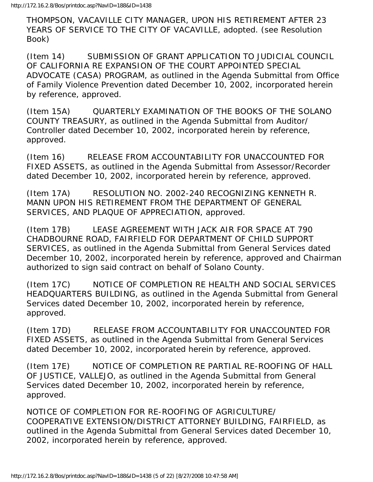THOMPSON, VACAVILLE CITY MANAGER, UPON HIS RETIREMENT AFTER 23 YEARS OF SERVICE TO THE CITY OF VACAVILLE, adopted. (see Resolution Book)

(Item 14) SUBMISSION OF GRANT APPLICATION TO JUDICIAL COUNCIL OF CALIFORNIA RE EXPANSION OF THE COURT APPOINTED SPECIAL ADVOCATE (CASA) PROGRAM, as outlined in the Agenda Submittal from Office of Family Violence Prevention dated December 10, 2002, incorporated herein by reference, approved.

(Item 15A) QUARTERLY EXAMINATION OF THE BOOKS OF THE SOLANO COUNTY TREASURY, as outlined in the Agenda Submittal from Auditor/ Controller dated December 10, 2002, incorporated herein by reference, approved.

(Item 16) RELEASE FROM ACCOUNTABILITY FOR UNACCOUNTED FOR FIXED ASSETS, as outlined in the Agenda Submittal from Assessor/Recorder dated December 10, 2002, incorporated herein by reference, approved.

(Item 17A) RESOLUTION NO. 2002-240 RECOGNIZING KENNETH R. MANN UPON HIS RETIREMENT FROM THE DEPARTMENT OF GENERAL SERVICES, AND PLAQUE OF APPRECIATION, approved.

(Item 17B) LEASE AGREEMENT WITH JACK AIR FOR SPACE AT 790 CHADBOURNE ROAD, FAIRFIELD FOR DEPARTMENT OF CHILD SUPPORT SERVICES, as outlined in the Agenda Submittal from General Services dated December 10, 2002, incorporated herein by reference, approved and Chairman authorized to sign said contract on behalf of Solano County.

(Item 17C) NOTICE OF COMPLETION RE HEALTH AND SOCIAL SERVICES HEADQUARTERS BUILDING, as outlined in the Agenda Submittal from General Services dated December 10, 2002, incorporated herein by reference, approved.

(Item 17D) RELEASE FROM ACCOUNTABILITY FOR UNACCOUNTED FOR FIXED ASSETS, as outlined in the Agenda Submittal from General Services dated December 10, 2002, incorporated herein by reference, approved.

(Item 17E) NOTICE OF COMPLETION RE PARTIAL RE-ROOFING OF HALL OF JUSTICE, VALLEJO, as outlined in the Agenda Submittal from General Services dated December 10, 2002, incorporated herein by reference, approved.

NOTICE OF COMPLETION FOR RE-ROOFING OF AGRICULTURE/ COOPERATIVE EXTENSION/DISTRICT ATTORNEY BUILDING, FAIRFIELD, as outlined in the Agenda Submittal from General Services dated December 10, 2002, incorporated herein by reference, approved.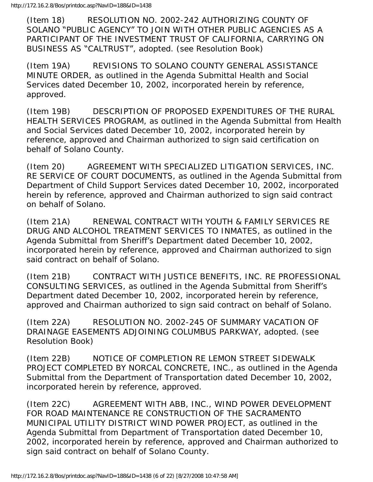(Item 18) RESOLUTION NO. 2002-242 AUTHORIZING COUNTY OF SOLANO "PUBLIC AGENCY" TO JOIN WITH OTHER PUBLIC AGENCIES AS A PARTICIPANT OF THE INVESTMENT TRUST OF CALIFORNIA, CARRYING ON BUSINESS AS "CALTRUST", adopted. (see Resolution Book)

(Item 19A) REVISIONS TO SOLANO COUNTY GENERAL ASSISTANCE MINUTE ORDER, as outlined in the Agenda Submittal Health and Social Services dated December 10, 2002, incorporated herein by reference, approved.

(Item 19B) DESCRIPTION OF PROPOSED EXPENDITURES OF THE RURAL HEALTH SERVICES PROGRAM, as outlined in the Agenda Submittal from Health and Social Services dated December 10, 2002, incorporated herein by reference, approved and Chairman authorized to sign said certification on behalf of Solano County.

(Item 20) AGREEMENT WITH SPECIALIZED LITIGATION SERVICES, INC. RE SERVICE OF COURT DOCUMENTS, as outlined in the Agenda Submittal from Department of Child Support Services dated December 10, 2002, incorporated herein by reference, approved and Chairman authorized to sign said contract on behalf of Solano.

(Item 21A) RENEWAL CONTRACT WITH YOUTH & FAMILY SERVICES RE DRUG AND ALCOHOL TREATMENT SERVICES TO INMATES, as outlined in the Agenda Submittal from Sheriff's Department dated December 10, 2002, incorporated herein by reference, approved and Chairman authorized to sign said contract on behalf of Solano.

(Item 21B) CONTRACT WITH JUSTICE BENEFITS, INC. RE PROFESSIONAL CONSULTING SERVICES, as outlined in the Agenda Submittal from Sheriff's Department dated December 10, 2002, incorporated herein by reference, approved and Chairman authorized to sign said contract on behalf of Solano.

(Item 22A) RESOLUTION NO. 2002-245 OF SUMMARY VACATION OF DRAINAGE EASEMENTS ADJOINING COLUMBUS PARKWAY, adopted. (see Resolution Book)

(Item 22B) NOTICE OF COMPLETION RE LEMON STREET SIDEWALK PROJECT COMPLETED BY NORCAL CONCRETE, INC., as outlined in the Agenda Submittal from the Department of Transportation dated December 10, 2002, incorporated herein by reference, approved.

(Item 22C) AGREEMENT WITH ABB, INC., WIND POWER DEVELOPMENT FOR ROAD MAINTENANCE RE CONSTRUCTION OF THE SACRAMENTO MUNICIPAL UTILITY DISTRICT WIND POWER PROJECT, as outlined in the Agenda Submittal from Department of Transportation dated December 10, 2002, incorporated herein by reference, approved and Chairman authorized to sign said contract on behalf of Solano County.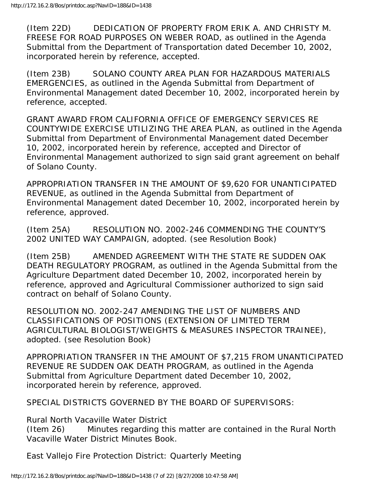(Item 22D) DEDICATION OF PROPERTY FROM ERIK A. AND CHRISTY M. FREESE FOR ROAD PURPOSES ON WEBER ROAD, as outlined in the Agenda Submittal from the Department of Transportation dated December 10, 2002, incorporated herein by reference, accepted.

(Item 23B) SOLANO COUNTY AREA PLAN FOR HAZARDOUS MATERIALS EMERGENCIES, as outlined in the Agenda Submittal from Department of Environmental Management dated December 10, 2002, incorporated herein by reference, accepted.

GRANT AWARD FROM CALIFORNIA OFFICE OF EMERGENCY SERVICES RE COUNTYWIDE EXERCISE UTILIZING THE AREA PLAN, as outlined in the Agenda Submittal from Department of Environmental Management dated December 10, 2002, incorporated herein by reference, accepted and Director of Environmental Management authorized to sign said grant agreement on behalf of Solano County.

APPROPRIATION TRANSFER IN THE AMOUNT OF \$9,620 FOR UNANTICIPATED REVENUE, as outlined in the Agenda Submittal from Department of Environmental Management dated December 10, 2002, incorporated herein by reference, approved.

(Item 25A) RESOLUTION NO. 2002-246 COMMENDING THE COUNTY'S 2002 UNITED WAY CAMPAIGN, adopted. (see Resolution Book)

(Item 25B) AMENDED AGREEMENT WITH THE STATE RE SUDDEN OAK DEATH REGULATORY PROGRAM, as outlined in the Agenda Submittal from the Agriculture Department dated December 10, 2002, incorporated herein by reference, approved and Agricultural Commissioner authorized to sign said contract on behalf of Solano County.

RESOLUTION NO. 2002-247 AMENDING THE LIST OF NUMBERS AND CLASSIFICATIONS OF POSITIONS (EXTENSION OF LIMITED TERM AGRICULTURAL BIOLOGIST/WEIGHTS & MEASURES INSPECTOR TRAINEE), adopted. (see Resolution Book)

APPROPRIATION TRANSFER IN THE AMOUNT OF \$7,215 FROM UNANTICIPATED REVENUE RE SUDDEN OAK DEATH PROGRAM, as outlined in the Agenda Submittal from Agriculture Department dated December 10, 2002, incorporated herein by reference, approved.

SPECIAL DISTRICTS GOVERNED BY THE BOARD OF SUPERVISORS:

Rural North Vacaville Water District

(Item 26) Minutes regarding this matter are contained in the Rural North Vacaville Water District Minutes Book.

East Vallejo Fire Protection District: Quarterly Meeting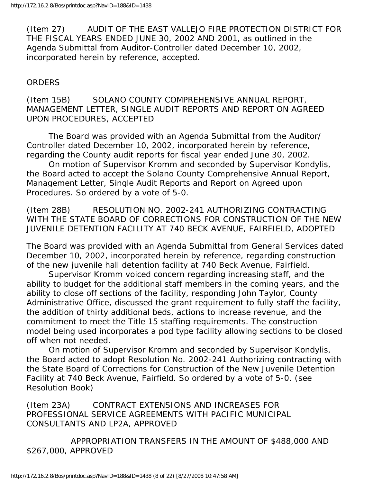(Item 27) AUDIT OF THE EAST VALLEJO FIRE PROTECTION DISTRICT FOR THE FISCAL YEARS ENDED JUNE 30, 2002 AND 2001, as outlined in the Agenda Submittal from Auditor-Controller dated December 10, 2002, incorporated herein by reference, accepted.

#### **ORDERS**

(Item 15B) SOLANO COUNTY COMPREHENSIVE ANNUAL REPORT, MANAGEMENT LETTER, SINGLE AUDIT REPORTS AND REPORT ON AGREED UPON PROCEDURES, ACCEPTED

 The Board was provided with an Agenda Submittal from the Auditor/ Controller dated December 10, 2002, incorporated herein by reference, regarding the County audit reports for fiscal year ended June 30, 2002.

 On motion of Supervisor Kromm and seconded by Supervisor Kondylis, the Board acted to accept the Solano County Comprehensive Annual Report, Management Letter, Single Audit Reports and Report on Agreed upon Procedures. So ordered by a vote of 5-0.

(Item 28B) RESOLUTION NO. 2002-241 AUTHORIZING CONTRACTING WITH THE STATE BOARD OF CORRECTIONS FOR CONSTRUCTION OF THE NEW JUVENILE DETENTION FACILITY AT 740 BECK AVENUE, FAIRFIELD, ADOPTED

The Board was provided with an Agenda Submittal from General Services dated December 10, 2002, incorporated herein by reference, regarding construction of the new juvenile hall detention facility at 740 Beck Avenue, Fairfield.

 Supervisor Kromm voiced concern regarding increasing staff, and the ability to budget for the additional staff members in the coming years, and the ability to close off sections of the facility, responding John Taylor, County Administrative Office, discussed the grant requirement to fully staff the facility, the addition of thirty additional beds, actions to increase revenue, and the commitment to meet the Title 15 staffing requirements. The construction model being used incorporates a pod type facility allowing sections to be closed off when not needed.

 On motion of Supervisor Kromm and seconded by Supervisor Kondylis, the Board acted to adopt Resolution No. 2002-241 Authorizing contracting with the State Board of Corrections for Construction of the New Juvenile Detention Facility at 740 Beck Avenue, Fairfield. So ordered by a vote of 5-0. (see Resolution Book)

(Item 23A) CONTRACT EXTENSIONS AND INCREASES FOR PROFESSIONAL SERVICE AGREEMENTS WITH PACIFIC MUNICIPAL CONSULTANTS AND LP2A, APPROVED

 APPROPRIATION TRANSFERS IN THE AMOUNT OF \$488,000 AND \$267,000, APPROVED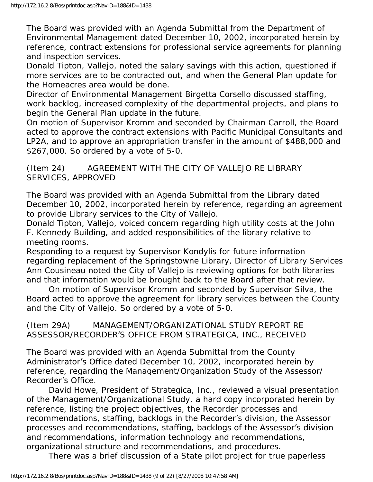The Board was provided with an Agenda Submittal from the Department of Environmental Management dated December 10, 2002, incorporated herein by reference, contract extensions for professional service agreements for planning and inspection services.

Donald Tipton, Vallejo, noted the salary savings with this action, questioned if more services are to be contracted out, and when the General Plan update for the Homeacres area would be done.

Director of Environmental Management Birgetta Corsello discussed staffing, work backlog, increased complexity of the departmental projects, and plans to begin the General Plan update in the future.

On motion of Supervisor Kromm and seconded by Chairman Carroll, the Board acted to approve the contract extensions with Pacific Municipal Consultants and LP2A, and to approve an appropriation transfer in the amount of \$488,000 and \$267,000. So ordered by a vote of 5-0.

(Item 24) AGREEMENT WITH THE CITY OF VALLEJO RE LIBRARY SERVICES, APPROVED

The Board was provided with an Agenda Submittal from the Library dated December 10, 2002, incorporated herein by reference, regarding an agreement to provide Library services to the City of Vallejo.

Donald Tipton, Vallejo, voiced concern regarding high utility costs at the John F. Kennedy Building, and added responsibilities of the library relative to meeting rooms.

Responding to a request by Supervisor Kondylis for future information regarding replacement of the Springstowne Library, Director of Library Services Ann Cousineau noted the City of Vallejo is reviewing options for both libraries and that information would be brought back to the Board after that review.

 On motion of Supervisor Kromm and seconded by Supervisor Silva, the Board acted to approve the agreement for library services between the County and the City of Vallejo. So ordered by a vote of 5-0.

(Item 29A) MANAGEMENT/ORGANIZATIONAL STUDY REPORT RE ASSESSOR/RECORDER'S OFFICE FROM STRATEGICA, INC., RECEIVED

The Board was provided with an Agenda Submittal from the County Administrator's Office dated December 10, 2002, incorporated herein by reference, regarding the Management/Organization Study of the Assessor/ Recorder's Office.

 David Howe, President of Strategica, Inc., reviewed a visual presentation of the Management/Organizational Study, a hard copy incorporated herein by reference, listing the project objectives, the Recorder processes and recommendations, staffing, backlogs in the Recorder's division, the Assessor processes and recommendations, staffing, backlogs of the Assessor's division and recommendations, information technology and recommendations, organizational structure and recommendations, and procedures.

There was a brief discussion of a State pilot project for true paperless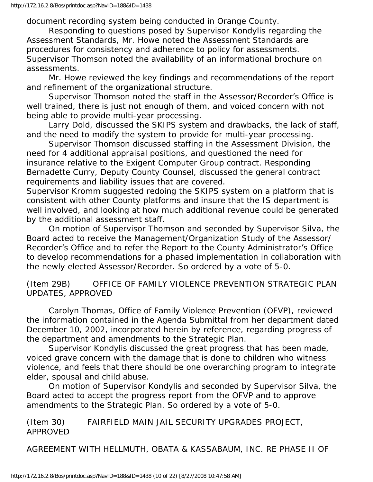document recording system being conducted in Orange County.

 Responding to questions posed by Supervisor Kondylis regarding the Assessment Standards, Mr. Howe noted the Assessment Standards are procedures for consistency and adherence to policy for assessments. Supervisor Thomson noted the availability of an informational brochure on assessments.

 Mr. Howe reviewed the key findings and recommendations of the report and refinement of the organizational structure.

 Supervisor Thomson noted the staff in the Assessor/Recorder's Office is well trained, there is just not enough of them, and voiced concern with not being able to provide multi-year processing.

 Larry Dold, discussed the SKIPS system and drawbacks, the lack of staff, and the need to modify the system to provide for multi-year processing.

 Supervisor Thomson discussed staffing in the Assessment Division, the need for 4 additional appraisal positions, and questioned the need for insurance relative to the Exigent Computer Group contract. Responding Bernadette Curry, Deputy County Counsel, discussed the general contract requirements and liability issues that are covered.

Supervisor Kromm suggested redoing the SKIPS system on a platform that is consistent with other County platforms and insure that the IS department is well involved, and looking at how much additional revenue could be generated by the additional assessment staff.

 On motion of Supervisor Thomson and seconded by Supervisor Silva, the Board acted to receive the Management/Organization Study of the Assessor/ Recorder's Office and to refer the Report to the County Administrator's Office to develop recommendations for a phased implementation in collaboration with the newly elected Assessor/Recorder. So ordered by a vote of 5-0.

(Item 29B) OFFICE OF FAMILY VIOLENCE PREVENTION STRATEGIC PLAN UPDATES, APPROVED

 Carolyn Thomas, Office of Family Violence Prevention (OFVP), reviewed the information contained in the Agenda Submittal from her department dated December 10, 2002, incorporated herein by reference, regarding progress of the department and amendments to the Strategic Plan.

 Supervisor Kondylis discussed the great progress that has been made, voiced grave concern with the damage that is done to children who witness violence, and feels that there should be one overarching program to integrate elder, spousal and child abuse.

 On motion of Supervisor Kondylis and seconded by Supervisor Silva, the Board acted to accept the progress report from the OFVP and to approve amendments to the Strategic Plan. So ordered by a vote of 5-0.

(Item 30) FAIRFIELD MAIN JAIL SECURITY UPGRADES PROJECT, APPROVED

AGREEMENT WITH HELLMUTH, OBATA & KASSABAUM, INC. RE PHASE II OF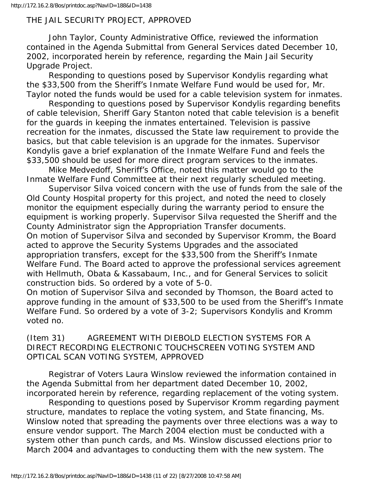#### THE JAIL SECURITY PROJECT, APPROVED

 John Taylor, County Administrative Office, reviewed the information contained in the Agenda Submittal from General Services dated December 10, 2002, incorporated herein by reference, regarding the Main Jail Security Upgrade Project.

 Responding to questions posed by Supervisor Kondylis regarding what the \$33,500 from the Sheriff's Inmate Welfare Fund would be used for, Mr. Taylor noted the funds would be used for a cable television system for inmates.

 Responding to questions posed by Supervisor Kondylis regarding benefits of cable television, Sheriff Gary Stanton noted that cable television is a benefit for the guards in keeping the inmates entertained. Television is passive recreation for the inmates, discussed the State law requirement to provide the basics, but that cable television is an upgrade for the inmates. Supervisor Kondylis gave a brief explanation of the Inmate Welfare Fund and feels the \$33,500 should be used for more direct program services to the inmates.

 Mike Medvedoff, Sheriff's Office, noted this matter would go to the Inmate Welfare Fund Committee at their next regularly scheduled meeting.

 Supervisor Silva voiced concern with the use of funds from the sale of the Old County Hospital property for this project, and noted the need to closely monitor the equipment especially during the warranty period to ensure the equipment is working properly. Supervisor Silva requested the Sheriff and the County Administrator sign the Appropriation Transfer documents.

On motion of Supervisor Silva and seconded by Supervisor Kromm, the Board acted to approve the Security Systems Upgrades and the associated appropriation transfers, except for the \$33,500 from the Sheriff's Inmate Welfare Fund. The Board acted to approve the professional services agreement with Hellmuth, Obata & Kassabaum, Inc., and for General Services to solicit construction bids. So ordered by a vote of 5-0.

On motion of Supervisor Silva and seconded by Thomson, the Board acted to approve funding in the amount of \$33,500 to be used from the Sheriff's Inmate Welfare Fund. So ordered by a vote of 3-2; Supervisors Kondylis and Kromm voted no.

# (Item 31) AGREEMENT WITH DIEBOLD ELECTION SYSTEMS FOR A DIRECT RECORDING ELECTRONIC TOUCHSCREEN VOTING SYSTEM AND OPTICAL SCAN VOTING SYSTEM, APPROVED

 Registrar of Voters Laura Winslow reviewed the information contained in the Agenda Submittal from her department dated December 10, 2002, incorporated herein by reference, regarding replacement of the voting system.

 Responding to questions posed by Supervisor Kromm regarding payment structure, mandates to replace the voting system, and State financing, Ms. Winslow noted that spreading the payments over three elections was a way to ensure vendor support. The March 2004 election must be conducted with a system other than punch cards, and Ms. Winslow discussed elections prior to March 2004 and advantages to conducting them with the new system. The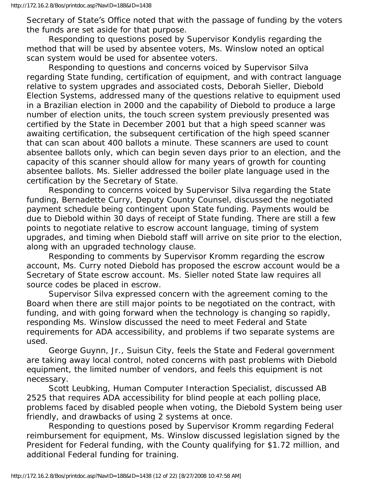Secretary of State's Office noted that with the passage of funding by the voters the funds are set aside for that purpose.

 Responding to questions posed by Supervisor Kondylis regarding the method that will be used by absentee voters, Ms. Winslow noted an optical scan system would be used for absentee voters.

 Responding to questions and concerns voiced by Supervisor Silva regarding State funding, certification of equipment, and with contract language relative to system upgrades and associated costs, Deborah Sieller, Diebold Election Systems, addressed many of the questions relative to equipment used in a Brazilian election in 2000 and the capability of Diebold to produce a large number of election units, the touch screen system previously presented was certified by the State in December 2001 but that a high speed scanner was awaiting certification, the subsequent certification of the high speed scanner that can scan about 400 ballots a minute. These scanners are used to count absentee ballots only, which can begin seven days prior to an election, and the capacity of this scanner should allow for many years of growth for counting absentee ballots. Ms. Sieller addressed the boiler plate language used in the certification by the Secretary of State.

 Responding to concerns voiced by Supervisor Silva regarding the State funding, Bernadette Curry, Deputy County Counsel, discussed the negotiated payment schedule being contingent upon State funding. Payments would be due to Diebold within 30 days of receipt of State funding. There are still a few points to negotiate relative to escrow account language, timing of system upgrades, and timing when Diebold staff will arrive on site prior to the election, along with an upgraded technology clause.

 Responding to comments by Supervisor Kromm regarding the escrow account, Ms. Curry noted Diebold has proposed the escrow account would be a Secretary of State escrow account. Ms. Sieller noted State law requires all source codes be placed in escrow.

 Supervisor Silva expressed concern with the agreement coming to the Board when there are still major points to be negotiated on the contract, with funding, and with going forward when the technology is changing so rapidly, responding Ms. Winslow discussed the need to meet Federal and State requirements for ADA accessibility, and problems if two separate systems are used.

 George Guynn, Jr., Suisun City, feels the State and Federal government are taking away local control, noted concerns with past problems with Diebold equipment, the limited number of vendors, and feels this equipment is not necessary.

 Scott Leubking, Human Computer Interaction Specialist, discussed AB 2525 that requires ADA accessibility for blind people at each polling place, problems faced by disabled people when voting, the Diebold System being user friendly, and drawbacks of using 2 systems at once.

 Responding to questions posed by Supervisor Kromm regarding Federal reimbursement for equipment, Ms. Winslow discussed legislation signed by the President for Federal funding, with the County qualifying for \$1.72 million, and additional Federal funding for training.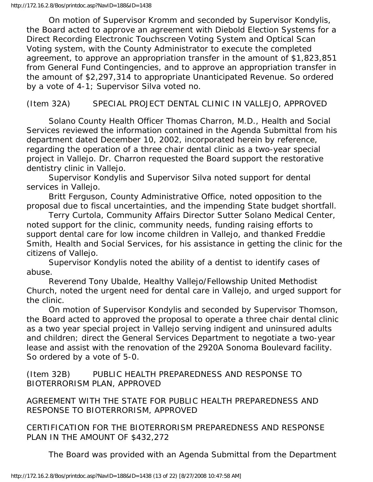On motion of Supervisor Kromm and seconded by Supervisor Kondylis, the Board acted to approve an agreement with Diebold Election Systems for a Direct Recording Electronic Touchscreen Voting System and Optical Scan Voting system, with the County Administrator to execute the completed agreement, to approve an appropriation transfer in the amount of \$1,823,851 from General Fund Contingencies, and to approve an appropriation transfer in the amount of \$2,297,314 to appropriate Unanticipated Revenue. So ordered by a vote of 4-1; Supervisor Silva voted no.

# (Item 32A) SPECIAL PROJECT DENTAL CLINIC IN VALLEJO, APPROVED

 Solano County Health Officer Thomas Charron, M.D., Health and Social Services reviewed the information contained in the Agenda Submittal from his department dated December 10, 2002, incorporated herein by reference, regarding the operation of a three chair dental clinic as a two-year special project in Vallejo. Dr. Charron requested the Board support the restorative dentistry clinic in Vallejo.

 Supervisor Kondylis and Supervisor Silva noted support for dental services in Vallejo.

 Britt Ferguson, County Administrative Office, noted opposition to the proposal due to fiscal uncertainties, and the impending State budget shortfall.

 Terry Curtola, Community Affairs Director Sutter Solano Medical Center, noted support for the clinic, community needs, funding raising efforts to support dental care for low income children in Vallejo, and thanked Freddie Smith, Health and Social Services, for his assistance in getting the clinic for the citizens of Vallejo.

 Supervisor Kondylis noted the ability of a dentist to identify cases of abuse.

 Reverend Tony Ubalde, Healthy Vallejo/Fellowship United Methodist Church, noted the urgent need for dental care in Vallejo, and urged support for the clinic.

 On motion of Supervisor Kondylis and seconded by Supervisor Thomson, the Board acted to approved the proposal to operate a three chair dental clinic as a two year special project in Vallejo serving indigent and uninsured adults and children; direct the General Services Department to negotiate a two-year lease and assist with the renovation of the 2920A Sonoma Boulevard facility. So ordered by a vote of 5-0.

(Item 32B) PUBLIC HEALTH PREPAREDNESS AND RESPONSE TO BIOTERRORISM PLAN, APPROVED

AGREEMENT WITH THE STATE FOR PUBLIC HEALTH PREPAREDNESS AND RESPONSE TO BIOTERRORISM, APPROVED

CERTIFICATION FOR THE BIOTERRORISM PREPAREDNESS AND RESPONSE PLAN IN THE AMOUNT OF \$432,272

The Board was provided with an Agenda Submittal from the Department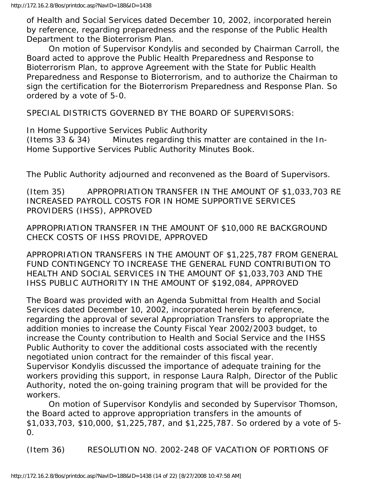of Health and Social Services dated December 10, 2002, incorporated herein by reference, regarding preparedness and the response of the Public Health Department to the Bioterrorism Plan.

 On motion of Supervisor Kondylis and seconded by Chairman Carroll, the Board acted to approve the Public Health Preparedness and Response to Bioterrorism Plan, to approve Agreement with the State for Public Health Preparedness and Response to Bioterrorism, and to authorize the Chairman to sign the certification for the Bioterrorism Preparedness and Response Plan. So ordered by a vote of 5-0.

SPECIAL DISTRICTS GOVERNED BY THE BOARD OF SUPERVISORS:

In Home Supportive Services Public Authority (Items 33 & 34) Minutes regarding this matter are contained in the In-Home Supportive Services Public Authority Minutes Book.

The Public Authority adjourned and reconvened as the Board of Supervisors.

(Item 35) APPROPRIATION TRANSFER IN THE AMOUNT OF \$1,033,703 RE INCREASED PAYROLL COSTS FOR IN HOME SUPPORTIVE SERVICES PROVIDERS (IHSS), APPROVED

APPROPRIATION TRANSFER IN THE AMOUNT OF \$10,000 RE BACKGROUND CHECK COSTS OF IHSS PROVIDE, APPROVED

APPROPRIATION TRANSFERS IN THE AMOUNT OF \$1,225,787 FROM GENERAL FUND CONTINGENCY TO INCREASE THE GENERAL FUND CONTRIBUTION TO HEALTH AND SOCIAL SERVICES IN THE AMOUNT OF \$1,033,703 AND THE IHSS PUBLIC AUTHORITY IN THE AMOUNT OF \$192,084, APPROVED

The Board was provided with an Agenda Submittal from Health and Social Services dated December 10, 2002, incorporated herein by reference, regarding the approval of several Appropriation Transfers to appropriate the addition monies to increase the County Fiscal Year 2002/2003 budget, to increase the County contribution to Health and Social Service and the IHSS Public Authority to cover the additional costs associated with the recently negotiated union contract for the remainder of this fiscal year. Supervisor Kondylis discussed the importance of adequate training for the workers providing this support, in response Laura Ralph, Director of the Public

Authority, noted the on-going training program that will be provided for the workers.

 On motion of Supervisor Kondylis and seconded by Supervisor Thomson, the Board acted to approve appropriation transfers in the amounts of \$1,033,703, \$10,000, \$1,225,787, and \$1,225,787. So ordered by a vote of 5- 0.

(Item 36) RESOLUTION NO. 2002-248 OF VACATION OF PORTIONS OF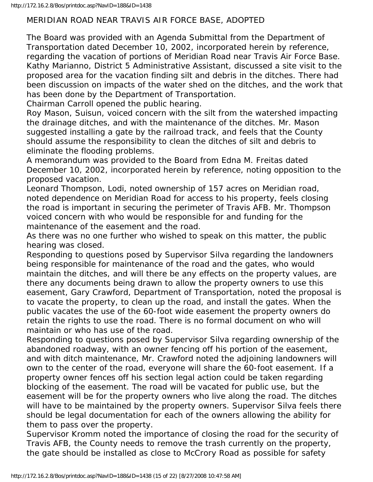# MERIDIAN ROAD NEAR TRAVIS AIR FORCE BASE, ADOPTED

The Board was provided with an Agenda Submittal from the Department of Transportation dated December 10, 2002, incorporated herein by reference, regarding the vacation of portions of Meridian Road near Travis Air Force Base. Kathy Marianno, District 5 Administrative Assistant, discussed a site visit to the proposed area for the vacation finding silt and debris in the ditches. There had been discussion on impacts of the water shed on the ditches, and the work that has been done by the Department of Transportation.

Chairman Carroll opened the public hearing.

Roy Mason, Suisun, voiced concern with the silt from the watershed impacting the drainage ditches, and with the maintenance of the ditches. Mr. Mason suggested installing a gate by the railroad track, and feels that the County should assume the responsibility to clean the ditches of silt and debris to eliminate the flooding problems.

A memorandum was provided to the Board from Edna M. Freitas dated December 10, 2002, incorporated herein by reference, noting opposition to the proposed vacation.

Leonard Thompson, Lodi, noted ownership of 157 acres on Meridian road, noted dependence on Meridian Road for access to his property, feels closing the road is important in securing the perimeter of Travis AFB. Mr. Thompson voiced concern with who would be responsible for and funding for the maintenance of the easement and the road.

As there was no one further who wished to speak on this matter, the public hearing was closed.

Responding to questions posed by Supervisor Silva regarding the landowners being responsible for maintenance of the road and the gates, who would maintain the ditches, and will there be any effects on the property values, are there any documents being drawn to allow the property owners to use this easement, Gary Crawford, Department of Transportation, noted the proposal is to vacate the property, to clean up the road, and install the gates. When the public vacates the use of the 60-foot wide easement the property owners do retain the rights to use the road. There is no formal document on who will maintain or who has use of the road.

Responding to questions posed by Supervisor Silva regarding ownership of the abandoned roadway, with an owner fencing off his portion of the easement, and with ditch maintenance, Mr. Crawford noted the adjoining landowners will own to the center of the road, everyone will share the 60-foot easement. If a property owner fences off his section legal action could be taken regarding blocking of the easement. The road will be vacated for public use, but the easement will be for the property owners who live along the road. The ditches will have to be maintained by the property owners. Supervisor Silva feels there should be legal documentation for each of the owners allowing the ability for them to pass over the property.

Supervisor Kromm noted the importance of closing the road for the security of Travis AFB, the County needs to remove the trash currently on the property, the gate should be installed as close to McCrory Road as possible for safety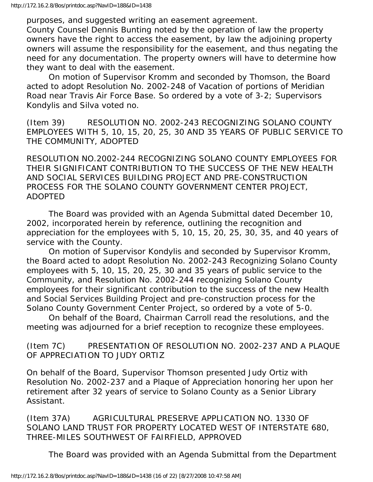purposes, and suggested writing an easement agreement.

County Counsel Dennis Bunting noted by the operation of law the property owners have the right to access the easement, by law the adjoining property owners will assume the responsibility for the easement, and thus negating the need for any documentation. The property owners will have to determine how they want to deal with the easement.

 On motion of Supervisor Kromm and seconded by Thomson, the Board acted to adopt Resolution No. 2002-248 of Vacation of portions of Meridian Road near Travis Air Force Base. So ordered by a vote of 3-2; Supervisors Kondylis and Silva voted no.

(Item 39) RESOLUTION NO. 2002-243 RECOGNIZING SOLANO COUNTY EMPLOYEES WITH 5, 10, 15, 20, 25, 30 AND 35 YEARS OF PUBLIC SERVICE TO THE COMMUNITY, ADOPTED

RESOLUTION NO.2002-244 RECOGNIZING SOLANO COUNTY EMPLOYEES FOR THEIR SIGNIFICANT CONTRIBUTION TO THE SUCCESS OF THE NEW HEALTH AND SOCIAL SERVICES BUILDING PROJECT AND PRE-CONSTRUCTION PROCESS FOR THE SOLANO COUNTY GOVERNMENT CENTER PROJECT, ADOPTED

 The Board was provided with an Agenda Submittal dated December 10, 2002, incorporated herein by reference, outlining the recognition and appreciation for the employees with 5, 10, 15, 20, 25, 30, 35, and 40 years of service with the County.

 On motion of Supervisor Kondylis and seconded by Supervisor Kromm, the Board acted to adopt Resolution No. 2002-243 Recognizing Solano County employees with 5, 10, 15, 20, 25, 30 and 35 years of public service to the Community, and Resolution No. 2002-244 recognizing Solano County employees for their significant contribution to the success of the new Health and Social Services Building Project and pre-construction process for the Solano County Government Center Project, so ordered by a vote of 5-0.

 On behalf of the Board, Chairman Carroll read the resolutions, and the meeting was adjourned for a brief reception to recognize these employees.

(Item 7C) PRESENTATION OF RESOLUTION NO. 2002-237 AND A PLAQUE OF APPRECIATION TO JUDY ORTIZ

On behalf of the Board, Supervisor Thomson presented Judy Ortiz with Resolution No. 2002-237 and a Plaque of Appreciation honoring her upon her retirement after 32 years of service to Solano County as a Senior Library Assistant.

(Item 37A) AGRICULTURAL PRESERVE APPLICATION NO. 1330 OF SOLANO LAND TRUST FOR PROPERTY LOCATED WEST OF INTERSTATE 680, THREE-MILES SOUTHWEST OF FAIRFIELD, APPROVED

The Board was provided with an Agenda Submittal from the Department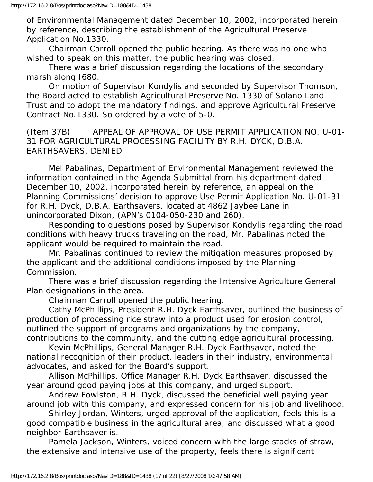of Environmental Management dated December 10, 2002, incorporated herein by reference, describing the establishment of the Agricultural Preserve Application No.1330.

 Chairman Carroll opened the public hearing. As there was no one who wished to speak on this matter, the public hearing was closed.

 There was a brief discussion regarding the locations of the secondary marsh along I680.

 On motion of Supervisor Kondylis and seconded by Supervisor Thomson, the Board acted to establish Agricultural Preserve No. 1330 of Solano Land Trust and to adopt the mandatory findings, and approve Agricultural Preserve Contract No.1330. So ordered by a vote of 5-0.

(Item 37B) APPEAL OF APPROVAL OF USE PERMIT APPLICATION NO. U-01- 31 FOR AGRICULTURAL PROCESSING FACILITY BY R.H. DYCK, D.B.A. EARTHSAVERS, DENIED

 Mel Pabalinas, Department of Environmental Management reviewed the information contained in the Agenda Submittal from his department dated December 10, 2002, incorporated herein by reference, an appeal on the Planning Commissions' decision to approve Use Permit Application No. U-01-31 for R.H. Dyck, D.B.A. Earthsavers, located at 4862 Jaybee Lane in unincorporated Dixon, (APN's 0104-050-230 and 260).

 Responding to questions posed by Supervisor Kondylis regarding the road conditions with heavy trucks traveling on the road, Mr. Pabalinas noted the applicant would be required to maintain the road.

 Mr. Pabalinas continued to review the mitigation measures proposed by the applicant and the additional conditions imposed by the Planning Commission.

 There was a brief discussion regarding the Intensive Agriculture General Plan designations in the area.

Chairman Carroll opened the public hearing.

 Cathy McPhillips, President R.H. Dyck Earthsaver, outlined the business of production of processing rice straw into a product used for erosion control, outlined the support of programs and organizations by the company, contributions to the community, and the cutting edge agricultural processing.

 Kevin McPhillips, General Manager R.H. Dyck Earthsaver, noted the national recognition of their product, leaders in their industry, environmental advocates, and asked for the Board's support.

 Allison McPhillips, Office Manager R.H. Dyck Earthsaver, discussed the year around good paying jobs at this company, and urged support.

 Andrew Fowlston, R.H. Dyck, discussed the beneficial well paying year around job with this company, and expressed concern for his job and livelihood.

 Shirley Jordan, Winters, urged approval of the application, feels this is a good compatible business in the agricultural area, and discussed what a good neighbor Earthsaver is.

 Pamela Jackson, Winters, voiced concern with the large stacks of straw, the extensive and intensive use of the property, feels there is significant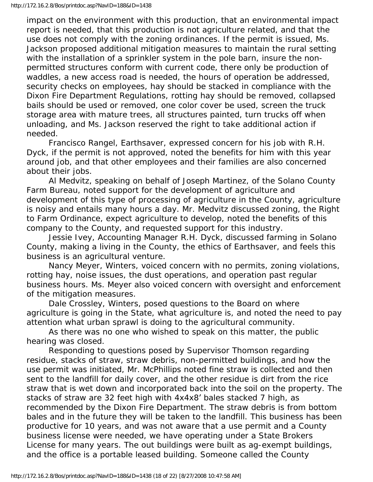impact on the environment with this production, that an environmental impact report is needed, that this production is not agriculture related, and that the use does not comply with the zoning ordinances. If the permit is issued, Ms. Jackson proposed additional mitigation measures to maintain the rural setting with the installation of a sprinkler system in the pole barn, insure the nonpermitted structures conform with current code, there only be production of waddles, a new access road is needed, the hours of operation be addressed, security checks on employees, hay should be stacked in compliance with the Dixon Fire Department Regulations, rotting hay should be removed, collapsed bails should be used or removed, one color cover be used, screen the truck storage area with mature trees, all structures painted, turn trucks off when unloading, and Ms. Jackson reserved the right to take additional action if needed.

 Francisco Rangel, Earthsaver, expressed concern for his job with R.H. Dyck, if the permit is not approved, noted the benefits for him with this year around job, and that other employees and their families are also concerned about their jobs.

 Al Medvitz, speaking on behalf of Joseph Martinez, of the Solano County Farm Bureau, noted support for the development of agriculture and development of this type of processing of agriculture in the County, agriculture is noisy and entails many hours a day. Mr. Medvitz discussed zoning, the Right to Farm Ordinance, expect agriculture to develop, noted the benefits of this company to the County, and requested support for this industry.

 Jessie Ivey, Accounting Manager R.H. Dyck, discussed farming in Solano County, making a living in the County, the ethics of Earthsaver, and feels this business is an agricultural venture.

 Nancy Meyer, Winters, voiced concern with no permits, zoning violations, rotting hay, noise issues, the dust operations, and operation past regular business hours. Ms. Meyer also voiced concern with oversight and enforcement of the mitigation measures.

 Dale Crossley, Winters, posed questions to the Board on where agriculture is going in the State, what agriculture is, and noted the need to pay attention what urban sprawl is doing to the agricultural community.

 As there was no one who wished to speak on this matter, the public hearing was closed.

 Responding to questions posed by Supervisor Thomson regarding residue, stacks of straw, straw debris, non-permitted buildings, and how the use permit was initiated, Mr. McPhillips noted fine straw is collected and then sent to the landfill for daily cover, and the other residue is dirt from the rice straw that is wet down and incorporated back into the soil on the property. The stacks of straw are 32 feet high with 4x4x8' bales stacked 7 high, as recommended by the Dixon Fire Department. The straw debris is from bottom bales and in the future they will be taken to the landfill. This business has been productive for 10 years, and was not aware that a use permit and a County business license were needed, we have operating under a State Brokers License for many years. The out buildings were built as ag-exempt buildings, and the office is a portable leased building. Someone called the County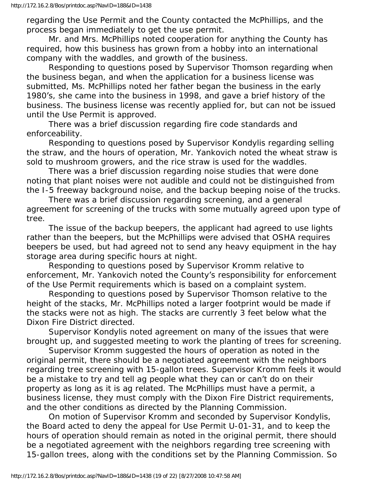regarding the Use Permit and the County contacted the McPhillips, and the process began immediately to get the use permit.

 Mr. and Mrs. McPhillips noted cooperation for anything the County has required, how this business has grown from a hobby into an international company with the waddles, and growth of the business.

 Responding to questions posed by Supervisor Thomson regarding when the business began, and when the application for a business license was submitted, Ms. McPhillips noted her father began the business in the early 1980's, she came into the business in 1998, and gave a brief history of the business. The business license was recently applied for, but can not be issued until the Use Permit is approved.

 There was a brief discussion regarding fire code standards and enforceability.

 Responding to questions posed by Supervisor Kondylis regarding selling the straw, and the hours of operation, Mr. Yankovich noted the wheat straw is sold to mushroom growers, and the rice straw is used for the waddles.

 There was a brief discussion regarding noise studies that were done noting that plant noises were not audible and could not be distinguished from the I-5 freeway background noise, and the backup beeping noise of the trucks.

 There was a brief discussion regarding screening, and a general agreement for screening of the trucks with some mutually agreed upon type of tree.

 The issue of the backup beepers, the applicant had agreed to use lights rather than the beepers, but the McPhillips were advised that OSHA requires beepers be used, but had agreed not to send any heavy equipment in the hay storage area during specific hours at night.

 Responding to questions posed by Supervisor Kromm relative to enforcement, Mr. Yankovich noted the County's responsibility for enforcement of the Use Permit requirements which is based on a complaint system.

 Responding to questions posed by Supervisor Thomson relative to the height of the stacks, Mr. McPhillips noted a larger footprint would be made if the stacks were not as high. The stacks are currently 3 feet below what the Dixon Fire District directed.

 Supervisor Kondylis noted agreement on many of the issues that were brought up, and suggested meeting to work the planting of trees for screening.

 Supervisor Kromm suggested the hours of operation as noted in the original permit, there should be a negotiated agreement with the neighbors regarding tree screening with 15-gallon trees. Supervisor Kromm feels it would be a mistake to try and tell ag people what they can or can't do on their property as long as it is ag related. The McPhillips must have a permit, a business license, they must comply with the Dixon Fire District requirements, and the other conditions as directed by the Planning Commission.

 On motion of Supervisor Kromm and seconded by Supervisor Kondylis, the Board acted to deny the appeal for Use Permit U-01-31, and to keep the hours of operation should remain as noted in the original permit, there should be a negotiated agreement with the neighbors regarding tree screening with 15-gallon trees, along with the conditions set by the Planning Commission. So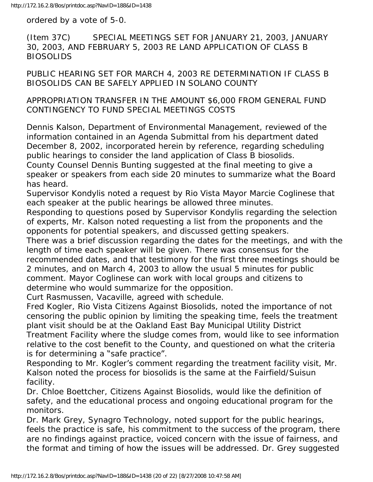ordered by a vote of 5-0.

(Item 37C) SPECIAL MEETINGS SET FOR JANUARY 21, 2003, JANUARY 30, 2003, AND FEBRUARY 5, 2003 RE LAND APPLICATION OF CLASS B BIOSOLIDS

PUBLIC HEARING SET FOR MARCH 4, 2003 RE DETERMINATION IF CLASS B BIOSOLIDS CAN BE SAFELY APPLIED IN SOLANO COUNTY

APPROPRIATION TRANSFER IN THE AMOUNT \$6,000 FROM GENERAL FUND CONTINGENCY TO FUND SPECIAL MEETINGS COSTS

Dennis Kalson, Department of Environmental Management, reviewed of the information contained in an Agenda Submittal from his department dated December 8, 2002, incorporated herein by reference, regarding scheduling public hearings to consider the land application of Class B biosolids.

County Counsel Dennis Bunting suggested at the final meeting to give a speaker or speakers from each side 20 minutes to summarize what the Board has heard.

Supervisor Kondylis noted a request by Rio Vista Mayor Marcie Coglinese that each speaker at the public hearings be allowed three minutes.

Responding to questions posed by Supervisor Kondylis regarding the selection of experts, Mr. Kalson noted requesting a list from the proponents and the opponents for potential speakers, and discussed getting speakers.

There was a brief discussion regarding the dates for the meetings, and with the length of time each speaker will be given. There was consensus for the recommended dates, and that testimony for the first three meetings should be 2 minutes, and on March 4, 2003 to allow the usual 5 minutes for public comment. Mayor Coglinese can work with local groups and citizens to determine who would summarize for the opposition.

Curt Rasmussen, Vacaville, agreed with schedule.

Fred Kogler, Rio Vista Citizens Against Biosolids, noted the importance of not censoring the public opinion by limiting the speaking time, feels the treatment plant visit should be at the Oakland East Bay Municipal Utility District Treatment Facility where the sludge comes from, would like to see information relative to the cost benefit to the County, and questioned on what the criteria is for determining a "safe practice".

Responding to Mr. Kogler's comment regarding the treatment facility visit, Mr. Kalson noted the process for biosolids is the same at the Fairfield/Suisun facility.

Dr. Chloe Boettcher, Citizens Against Biosolids, would like the definition of safety, and the educational process and ongoing educational program for the monitors.

Dr. Mark Grey, Synagro Technology, noted support for the public hearings, feels the practice is safe, his commitment to the success of the program, there are no findings against practice, voiced concern with the issue of fairness, and the format and timing of how the issues will be addressed. Dr. Grey suggested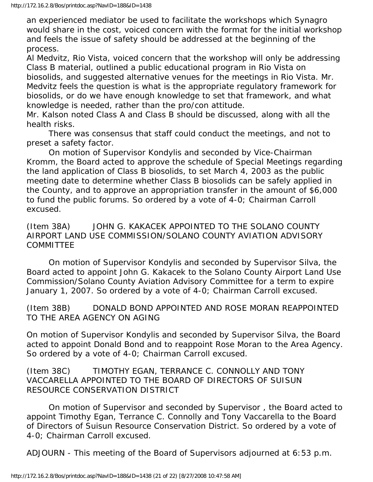an experienced mediator be used to facilitate the workshops which Synagro would share in the cost, voiced concern with the format for the initial workshop and feels the issue of safety should be addressed at the beginning of the process.

Al Medvitz, Rio Vista, voiced concern that the workshop will only be addressing Class B material, outlined a public educational program in Rio Vista on biosolids, and suggested alternative venues for the meetings in Rio Vista. Mr. Medvitz feels the question is what is the appropriate regulatory framework for biosolids, or do we have enough knowledge to set that framework, and what knowledge is needed, rather than the pro/con attitude.

Mr. Kalson noted Class A and Class B should be discussed, along with all the health risks.

 There was consensus that staff could conduct the meetings, and not to preset a safety factor.

 On motion of Supervisor Kondylis and seconded by Vice-Chairman Kromm, the Board acted to approve the schedule of Special Meetings regarding the land application of Class B biosolids, to set March 4, 2003 as the public meeting date to determine whether Class B biosolids can be safely applied in the County, and to approve an appropriation transfer in the amount of \$6,000 to fund the public forums. So ordered by a vote of 4-0; Chairman Carroll excused.

(Item 38A) JOHN G. KAKACEK APPOINTED TO THE SOLANO COUNTY AIRPORT LAND USE COMMISSION/SOLANO COUNTY AVIATION ADVISORY **COMMITTEE** 

 On motion of Supervisor Kondylis and seconded by Supervisor Silva, the Board acted to appoint John G. Kakacek to the Solano County Airport Land Use Commission/Solano County Aviation Advisory Committee for a term to expire January 1, 2007. So ordered by a vote of 4-0; Chairman Carroll excused.

(Item 38B) DONALD BOND APPOINTED AND ROSE MORAN REAPPOINTED TO THE AREA AGENCY ON AGING

On motion of Supervisor Kondylis and seconded by Supervisor Silva, the Board acted to appoint Donald Bond and to reappoint Rose Moran to the Area Agency. So ordered by a vote of 4-0; Chairman Carroll excused.

(Item 38C) TIMOTHY EGAN, TERRANCE C. CONNOLLY AND TONY VACCARELLA APPOINTED TO THE BOARD OF DIRECTORS OF SUISUN RESOURCE CONSERVATION DISTRICT

 On motion of Supervisor and seconded by Supervisor , the Board acted to appoint Timothy Egan, Terrance C. Connolly and Tony Vaccarella to the Board of Directors of Suisun Resource Conservation District. So ordered by a vote of 4-0; Chairman Carroll excused.

ADJOURN - This meeting of the Board of Supervisors adjourned at 6:53 p.m.